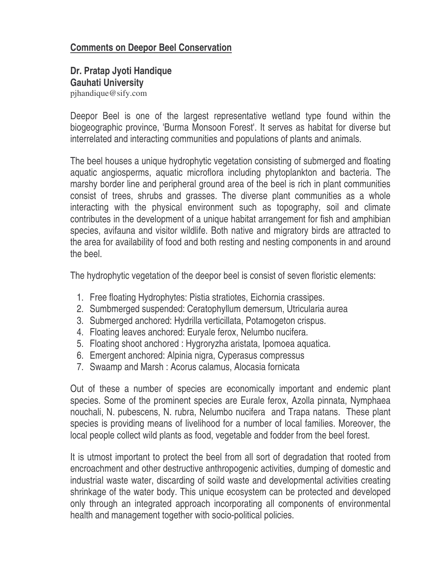## **Comments on Deepor Beel Conservation**

# **Dr. Pratap Jyoti Handique Gauhati University**

pjhandique@sify.com

Deepor Beel is one of the largest representative wetland type found within the biogeographic province, 'Burma Monsoon Forest'. It serves as habitat for diverse but interrelated and interacting communities and populations of plants and animals.

The beel houses a unique hydrophytic vegetation consisting of submerged and floating aquatic angiosperms, aquatic microflora including phytoplankton and bacteria. The marshy border line and peripheral ground area of the beel is rich in plant communities consist of trees, shrubs and grasses. The diverse plant communities as a whole interacting with the physical environment such as topography, soil and climate contributes in the development of a unique habitat arrangement for fish and amphibian species, avifauna and visitor wildlife. Both native and migratory birds are attracted to the area for availability of food and both resting and nesting components in and around the beel.

The hydrophytic vegetation of the deepor beel is consist of seven floristic elements:

- 1. Free floating Hydrophytes: Pistia stratiotes, Eichornia crassipes.
- 2. Sumbmerged suspended: Ceratophyllum demersum, Utricularia aurea
- 3. Submerged anchored: Hydrilla verticillata, Potamogeton crispus.
- 4. Floating leaves anchored: Euryale ferox, Nelumbo nucifera.
- 5. Floating shoot anchored : Hygroryzha aristata, Ipomoea aquatica.
- 6. Emergent anchored: Alpinia nigra, Cyperasus compressus
- 7. Swaamp and Marsh : Acorus calamus, Alocasia fornicata

Out of these a number of species are economically important and endemic plant species. Some of the prominent species are Eurale ferox, Azolla pinnata, Nymphaea nouchali, N. pubescens, N. rubra, Nelumbo nucifera and Trapa natans. These plant species is providing means of livelihood for a number of local families. Moreover, the local people collect wild plants as food, vegetable and fodder from the beel forest.

It is utmost important to protect the beel from all sort of degradation that rooted from encroachment and other destructive anthropogenic activities, dumping of domestic and industrial waste water, discarding of soild waste and developmental activities creating shrinkage of the water body. This unique ecosystem can be protected and developed only through an integrated approach incorporating all components of environmental health and management together with socio-political policies.